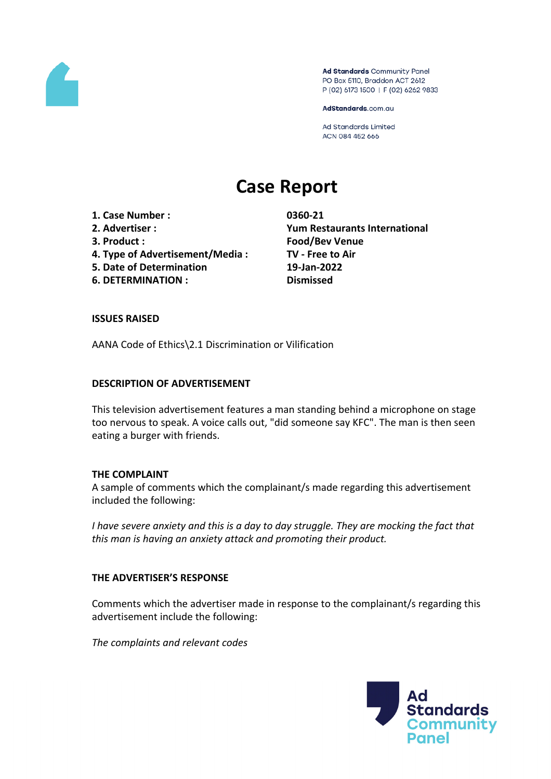

Ad Standards Community Panel PO Box 5110, Braddon ACT 2612 P (02) 6173 1500 | F (02) 6262 9833

AdStandards.com.au

Ad Standards Limited ACN 084 452 666

# **Case Report**

- **1. Case Number : 0360-21**
- 
- 
- **4. Type of Advertisement/Media : TV - Free to Air**
- **5. Date of Determination 19-Jan-2022**
- **6. DETERMINATION : Dismissed**

**2. Advertiser : Yum Restaurants International 3. Product : Food/Bev Venue**

### **ISSUES RAISED**

AANA Code of Ethics\2.1 Discrimination or Vilification

### **DESCRIPTION OF ADVERTISEMENT**

This television advertisement features a man standing behind a microphone on stage too nervous to speak. A voice calls out, "did someone say KFC". The man is then seen eating a burger with friends.

#### **THE COMPLAINT**

A sample of comments which the complainant/s made regarding this advertisement included the following:

*I have severe anxiety and this is a day to day struggle. They are mocking the fact that this man is having an anxiety attack and promoting their product.*

# **THE ADVERTISER'S RESPONSE**

Comments which the advertiser made in response to the complainant/s regarding this advertisement include the following:

*The complaints and relevant codes*

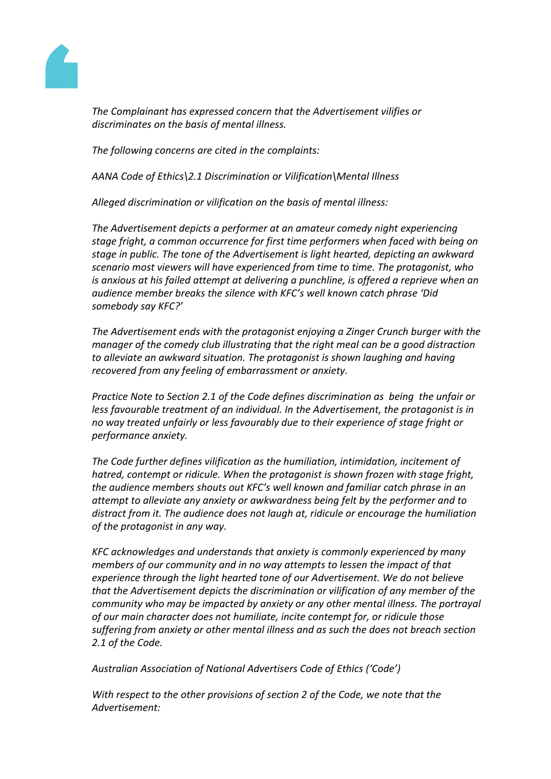

*The Complainant has expressed concern that the Advertisement vilifies or discriminates on the basis of mental illness.*

*The following concerns are cited in the complaints:*

*AANA Code of Ethics\2.1 Discrimination or Vilification\Mental Illness*

*Alleged discrimination or vilification on the basis of mental illness:*

*The Advertisement depicts a performer at an amateur comedy night experiencing stage fright, a common occurrence for first time performers when faced with being on stage in public. The tone of the Advertisement is light hearted, depicting an awkward scenario most viewers will have experienced from time to time. The protagonist, who is anxious at his failed attempt at delivering a punchline, is offered a reprieve when an audience member breaks the silence with KFC's well known catch phrase 'Did somebody say KFC?'*

*The Advertisement ends with the protagonist enjoying a Zinger Crunch burger with the manager of the comedy club illustrating that the right meal can be a good distraction to alleviate an awkward situation. The protagonist is shown laughing and having recovered from any feeling of embarrassment or anxiety.*

*Practice Note to Section 2.1 of the Code defines discrimination as being the unfair or less favourable treatment of an individual. In the Advertisement, the protagonist is in no way treated unfairly or less favourably due to their experience of stage fright or performance anxiety.*

*The Code further defines vilification as the humiliation, intimidation, incitement of hatred, contempt or ridicule. When the protagonist is shown frozen with stage fright, the audience members shouts out KFC's well known and familiar catch phrase in an attempt to alleviate any anxiety or awkwardness being felt by the performer and to distract from it. The audience does not laugh at, ridicule or encourage the humiliation of the protagonist in any way.*

*KFC acknowledges and understands that anxiety is commonly experienced by many members of our community and in no way attempts to lessen the impact of that experience through the light hearted tone of our Advertisement. We do not believe that the Advertisement depicts the discrimination or vilification of any member of the community who may be impacted by anxiety or any other mental illness. The portrayal of our main character does not humiliate, incite contempt for, or ridicule those suffering from anxiety or other mental illness and as such the does not breach section 2.1 of the Code.*

*Australian Association of National Advertisers Code of Ethics ('Code')*

*With respect to the other provisions of section 2 of the Code, we note that the Advertisement:*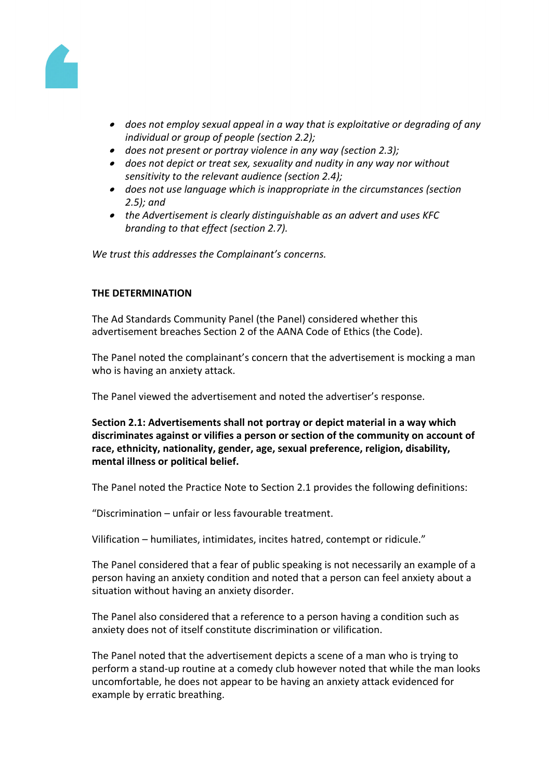

- *does not employ sexual appeal in a way that is exploitative or degrading of any individual or group of people (section 2.2);*
- *does not present or portray violence in any way (section 2.3);*
- *does not depict or treat sex, sexuality and nudity in any way nor without sensitivity to the relevant audience (section 2.4);*
- *does not use language which is inappropriate in the circumstances (section 2.5); and*
- *the Advertisement is clearly distinguishable as an advert and uses KFC branding to that effect (section 2.7).*

*We trust this addresses the Complainant's concerns.*

# **THE DETERMINATION**

The Ad Standards Community Panel (the Panel) considered whether this advertisement breaches Section 2 of the AANA Code of Ethics (the Code).

The Panel noted the complainant's concern that the advertisement is mocking a man who is having an anxiety attack.

The Panel viewed the advertisement and noted the advertiser's response.

**Section 2.1: Advertisements shall not portray or depict material in a way which discriminates against or vilifies a person or section of the community on account of race, ethnicity, nationality, gender, age, sexual preference, religion, disability, mental illness or political belief.**

The Panel noted the Practice Note to Section 2.1 provides the following definitions:

"Discrimination – unfair or less favourable treatment.

Vilification – humiliates, intimidates, incites hatred, contempt or ridicule."

The Panel considered that a fear of public speaking is not necessarily an example of a person having an anxiety condition and noted that a person can feel anxiety about a situation without having an anxiety disorder.

The Panel also considered that a reference to a person having a condition such as anxiety does not of itself constitute discrimination or vilification.

The Panel noted that the advertisement depicts a scene of a man who is trying to perform a stand-up routine at a comedy club however noted that while the man looks uncomfortable, he does not appear to be having an anxiety attack evidenced for example by erratic breathing.